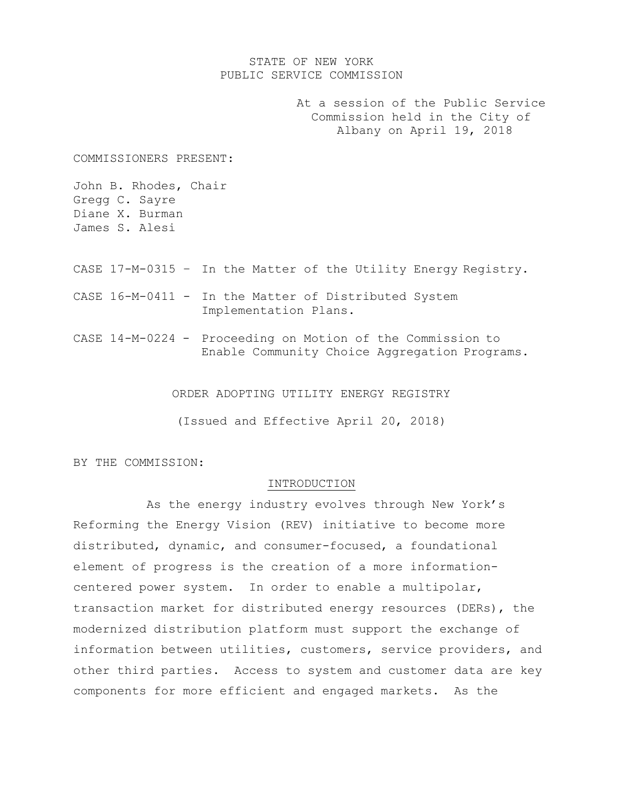#### STATE OF NEW YORK PUBLIC SERVICE COMMISSION

At a session of the Public Service Commission held in the City of Albany on April 19, 2018

COMMISSIONERS PRESENT:

John B. Rhodes, Chair Gregg C. Sayre Diane X. Burman James S. Alesi

- CASE 17-M-0315 In the Matter of the Utility Energy Registry.
- CASE 16-M-0411 In the Matter of Distributed System Implementation Plans.
- CASE 14-M-0224 Proceeding on Motion of the Commission to Enable Community Choice Aggregation Programs.

ORDER ADOPTING UTILITY ENERGY REGISTRY

(Issued and Effective April 20, 2018)

BY THE COMMISSION:

#### INTRODUCTION

As the energy industry evolves through New York's Reforming the Energy Vision (REV) initiative to become more distributed, dynamic, and consumer-focused, a foundational element of progress is the creation of a more informationcentered power system. In order to enable a multipolar, transaction market for distributed energy resources (DERs), the modernized distribution platform must support the exchange of information between utilities, customers, service providers, and other third parties. Access to system and customer data are key components for more efficient and engaged markets. As the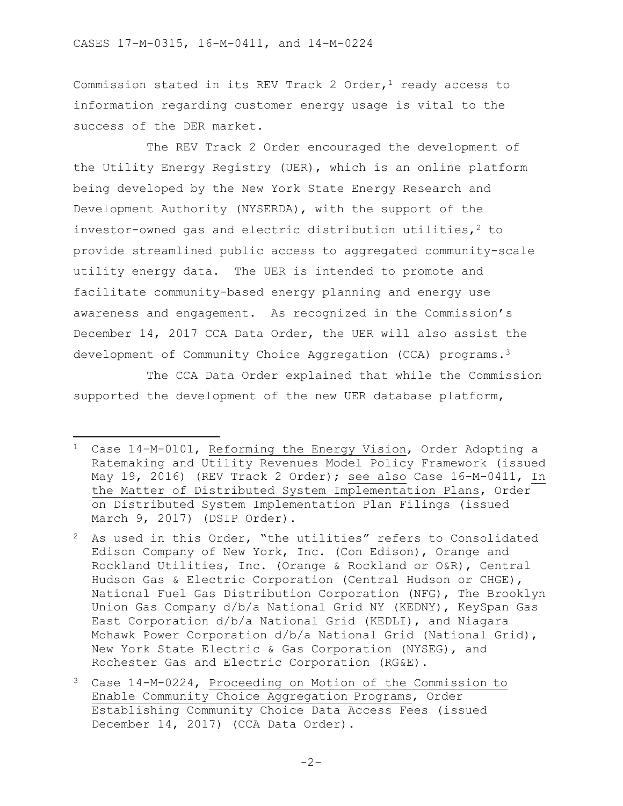$\overline{\phantom{a}}$ 

Commission stated in its REV Track 2 Order, $1$  ready access to information regarding customer energy usage is vital to the success of the DER market.

The REV Track 2 Order encouraged the development of the Utility Energy Registry (UER), which is an online platform being developed by the New York State Energy Research and Development Authority (NYSERDA), with the support of the investor-owned gas and electric distribution utilities, $^2$  to provide streamlined public access to aggregated community-scale utility energy data. The UER is intended to promote and facilitate community-based energy planning and energy use awareness and engagement. As recognized in the Commission's December 14, 2017 CCA Data Order, the UER will also assist the development of Community Choice Aggregation (CCA) programs.<sup>3</sup>

The CCA Data Order explained that while the Commission supported the development of the new UER database platform,

<sup>1</sup> Case 14-M-0101, Reforming the Energy Vision, Order Adopting a Ratemaking and Utility Revenues Model Policy Framework (issued May 19, 2016) (REV Track 2 Order); see also Case 16-M-0411, In the Matter of Distributed System Implementation Plans, Order on Distributed System Implementation Plan Filings (issued March 9, 2017) (DSIP Order).

<sup>2</sup> As used in this Order, "the utilities" refers to Consolidated Edison Company of New York, Inc. (Con Edison), Orange and Rockland Utilities, Inc. (Orange & Rockland or O&R), Central Hudson Gas & Electric Corporation (Central Hudson or CHGE), National Fuel Gas Distribution Corporation (NFG), The Brooklyn Union Gas Company d/b/a National Grid NY (KEDNY), KeySpan Gas East Corporation d/b/a National Grid (KEDLI), and Niagara Mohawk Power Corporation d/b/a National Grid (National Grid), New York State Electric & Gas Corporation (NYSEG), and Rochester Gas and Electric Corporation (RG&E).

<sup>3</sup> Case 14-M-0224, Proceeding on Motion of the Commission to Enable Community Choice Aggregation Programs, Order Establishing Community Choice Data Access Fees (issued December 14, 2017) (CCA Data Order).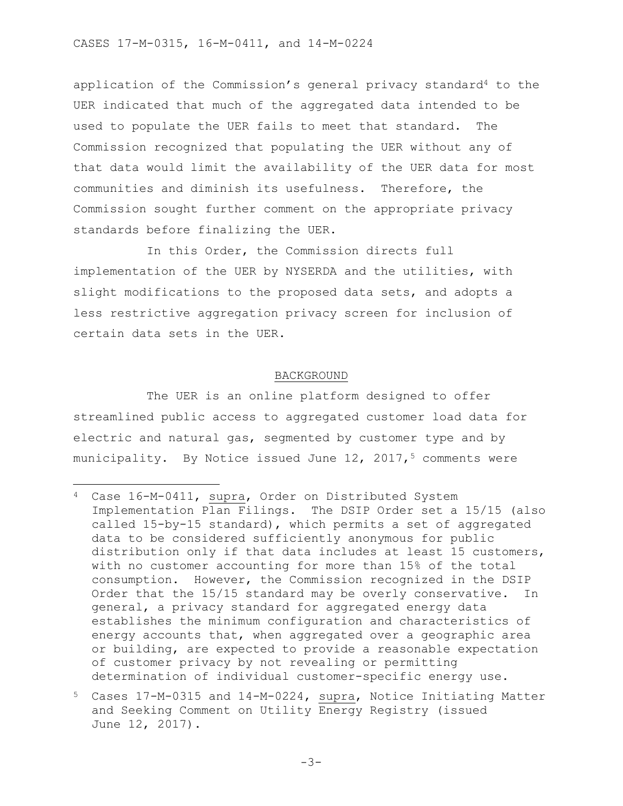application of the Commission's general privacy standard<sup>4</sup> to the UER indicated that much of the aggregated data intended to be used to populate the UER fails to meet that standard. The Commission recognized that populating the UER without any of that data would limit the availability of the UER data for most communities and diminish its usefulness. Therefore, the Commission sought further comment on the appropriate privacy standards before finalizing the UER.

In this Order, the Commission directs full implementation of the UER by NYSERDA and the utilities, with slight modifications to the proposed data sets, and adopts a less restrictive aggregation privacy screen for inclusion of certain data sets in the UER.

#### BACKGROUND

The UER is an online platform designed to offer streamlined public access to aggregated customer load data for electric and natural gas, segmented by customer type and by municipality. By Notice issued June  $12$ ,  $2017$ ,  $5$  comments were

l

<sup>4</sup> Case 16-M-0411, supra, Order on Distributed System Implementation Plan Filings. The DSIP Order set a 15/15 (also called 15-by-15 standard), which permits a set of aggregated data to be considered sufficiently anonymous for public distribution only if that data includes at least 15 customers, with no customer accounting for more than 15% of the total consumption. However, the Commission recognized in the DSIP Order that the 15/15 standard may be overly conservative. In general, a privacy standard for aggregated energy data establishes the minimum configuration and characteristics of energy accounts that, when aggregated over a geographic area or building, are expected to provide a reasonable expectation of customer privacy by not revealing or permitting determination of individual customer-specific energy use.

<sup>5</sup> Cases 17-M-0315 and 14-M-0224, supra, Notice Initiating Matter and Seeking Comment on Utility Energy Registry (issued June 12, 2017).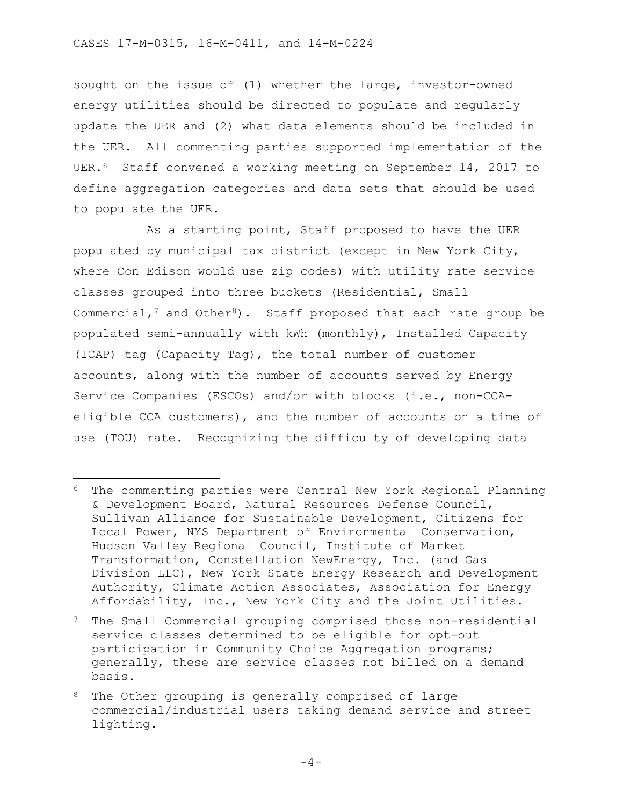l

sought on the issue of (1) whether the large, investor-owned energy utilities should be directed to populate and regularly update the UER and (2) what data elements should be included in the UER. All commenting parties supported implementation of the UER.6 Staff convened a working meeting on September 14, 2017 to define aggregation categories and data sets that should be used to populate the UER.

As a starting point, Staff proposed to have the UER populated by municipal tax district (except in New York City, where Con Edison would use zip codes) with utility rate service classes grouped into three buckets (Residential, Small Commercial,<sup>7</sup> and Other<sup>8</sup>). Staff proposed that each rate group be populated semi-annually with kWh (monthly), Installed Capacity (ICAP) tag (Capacity Tag), the total number of customer accounts, along with the number of accounts served by Energy Service Companies (ESCOs) and/or with blocks (i.e., non-CCAeligible CCA customers), and the number of accounts on a time of use (TOU) rate. Recognizing the difficulty of developing data

<sup>6</sup> The commenting parties were Central New York Regional Planning & Development Board, Natural Resources Defense Council, Sullivan Alliance for Sustainable Development, Citizens for Local Power, NYS Department of Environmental Conservation, Hudson Valley Regional Council, Institute of Market Transformation, Constellation NewEnergy, Inc. (and Gas Division LLC), New York State Energy Research and Development Authority, Climate Action Associates, Association for Energy Affordability, Inc., New York City and the Joint Utilities.

<sup>7</sup> The Small Commercial grouping comprised those non-residential service classes determined to be eligible for opt-out participation in Community Choice Aggregation programs; generally, these are service classes not billed on a demand basis.

<sup>8</sup> The Other grouping is generally comprised of large commercial/industrial users taking demand service and street lighting.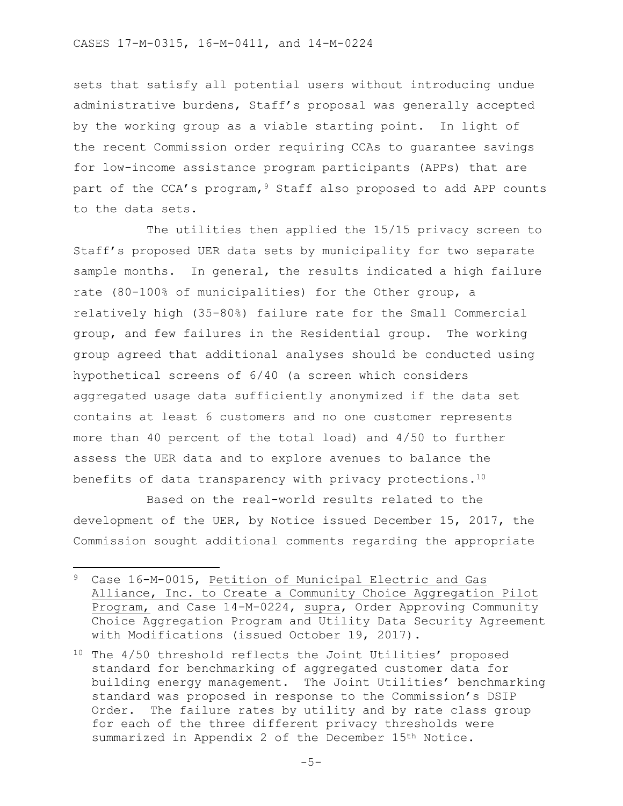sets that satisfy all potential users without introducing undue administrative burdens, Staff's proposal was generally accepted by the working group as a viable starting point. In light of the recent Commission order requiring CCAs to guarantee savings for low-income assistance program participants (APPs) that are part of the CCA's program,<sup>9</sup> Staff also proposed to add APP counts to the data sets.

The utilities then applied the 15/15 privacy screen to Staff's proposed UER data sets by municipality for two separate sample months. In general, the results indicated a high failure rate (80-100% of municipalities) for the Other group, a relatively high (35-80%) failure rate for the Small Commercial group, and few failures in the Residential group. The working group agreed that additional analyses should be conducted using hypothetical screens of 6/40 (a screen which considers aggregated usage data sufficiently anonymized if the data set contains at least 6 customers and no one customer represents more than 40 percent of the total load) and 4/50 to further assess the UER data and to explore avenues to balance the benefits of data transparency with privacy protections.<sup>10</sup>

Based on the real-world results related to the development of the UER, by Notice issued December 15, 2017, the Commission sought additional comments regarding the appropriate

 $\overline{\phantom{a}}$ 

<sup>9</sup> Case 16-M-0015, Petition of Municipal Electric and Gas Alliance, Inc. to Create a Community Choice Aggregation Pilot Program, and Case 14-M-0224, supra, Order Approving Community Choice Aggregation Program and Utility Data Security Agreement with Modifications (issued October 19, 2017).

<sup>10</sup> The 4/50 threshold reflects the Joint Utilities' proposed standard for benchmarking of aggregated customer data for building energy management. The Joint Utilities' benchmarking standard was proposed in response to the Commission's DSIP Order. The failure rates by utility and by rate class group for each of the three different privacy thresholds were summarized in Appendix 2 of the December 15th Notice.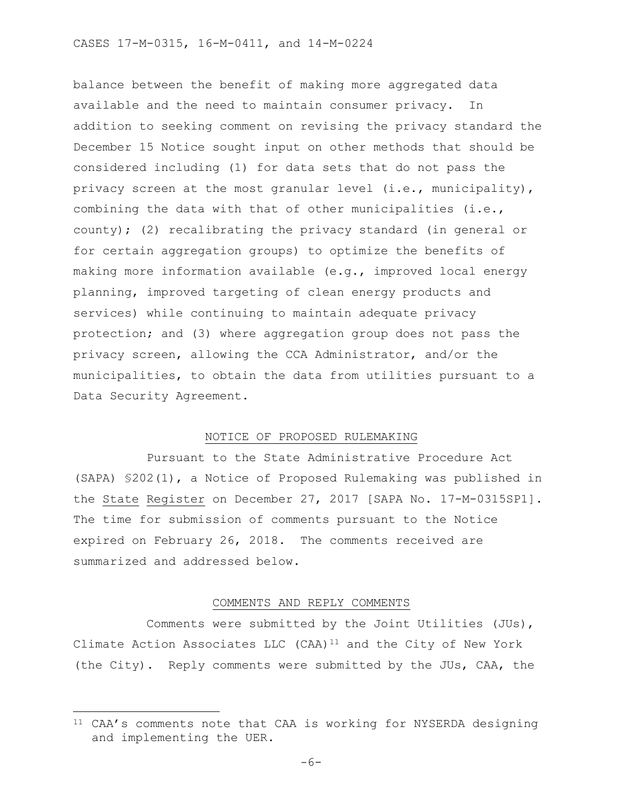balance between the benefit of making more aggregated data available and the need to maintain consumer privacy. In addition to seeking comment on revising the privacy standard the December 15 Notice sought input on other methods that should be considered including (1) for data sets that do not pass the privacy screen at the most granular level (i.e., municipality), combining the data with that of other municipalities (i.e., county); (2) recalibrating the privacy standard (in general or for certain aggregation groups) to optimize the benefits of making more information available (e.g., improved local energy planning, improved targeting of clean energy products and services) while continuing to maintain adequate privacy protection; and (3) where aggregation group does not pass the privacy screen, allowing the CCA Administrator, and/or the municipalities, to obtain the data from utilities pursuant to a Data Security Agreement.

#### NOTICE OF PROPOSED RULEMAKING

Pursuant to the State Administrative Procedure Act (SAPA) §202(1), a Notice of Proposed Rulemaking was published in the State Register on December 27, 2017 [SAPA No. 17-M-0315SP1]. The time for submission of comments pursuant to the Notice expired on February 26, 2018. The comments received are summarized and addressed below.

#### COMMENTS AND REPLY COMMENTS

Comments were submitted by the Joint Utilities (JUs), Climate Action Associates LLC  $(CAA)^{11}$  and the City of New York (the City). Reply comments were submitted by the JUs, CAA, the

 $\overline{\phantom{a}}$ 

<sup>&</sup>lt;sup>11</sup> CAA's comments note that CAA is working for NYSERDA designing and implementing the UER.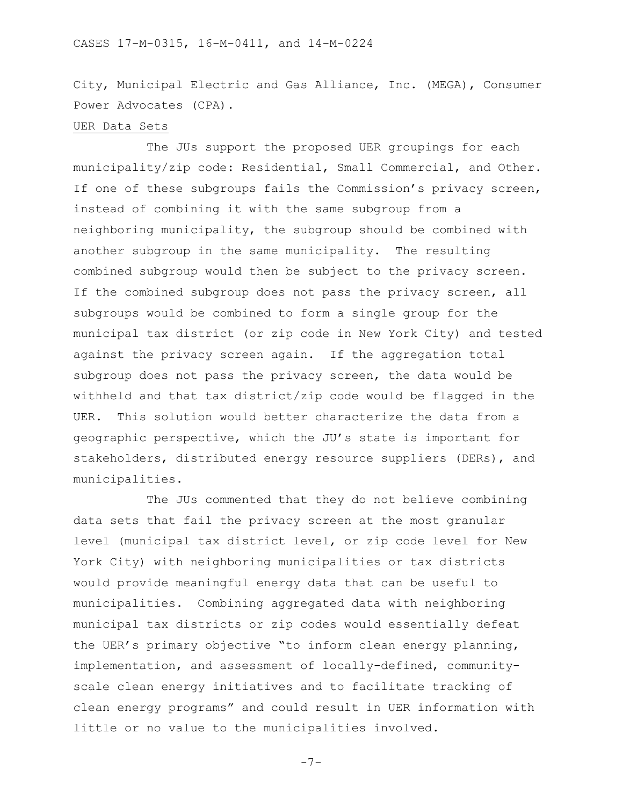City, Municipal Electric and Gas Alliance, Inc. (MEGA), Consumer Power Advocates (CPA).

#### UER Data Sets

The JUs support the proposed UER groupings for each municipality/zip code: Residential, Small Commercial, and Other. If one of these subgroups fails the Commission's privacy screen, instead of combining it with the same subgroup from a neighboring municipality, the subgroup should be combined with another subgroup in the same municipality. The resulting combined subgroup would then be subject to the privacy screen. If the combined subgroup does not pass the privacy screen, all subgroups would be combined to form a single group for the municipal tax district (or zip code in New York City) and tested against the privacy screen again. If the aggregation total subgroup does not pass the privacy screen, the data would be withheld and that tax district/zip code would be flagged in the UER. This solution would better characterize the data from a geographic perspective, which the JU's state is important for stakeholders, distributed energy resource suppliers (DERs), and municipalities.

The JUs commented that they do not believe combining data sets that fail the privacy screen at the most granular level (municipal tax district level, or zip code level for New York City) with neighboring municipalities or tax districts would provide meaningful energy data that can be useful to municipalities. Combining aggregated data with neighboring municipal tax districts or zip codes would essentially defeat the UER's primary objective "to inform clean energy planning, implementation, and assessment of locally-defined, communityscale clean energy initiatives and to facilitate tracking of clean energy programs" and could result in UER information with little or no value to the municipalities involved.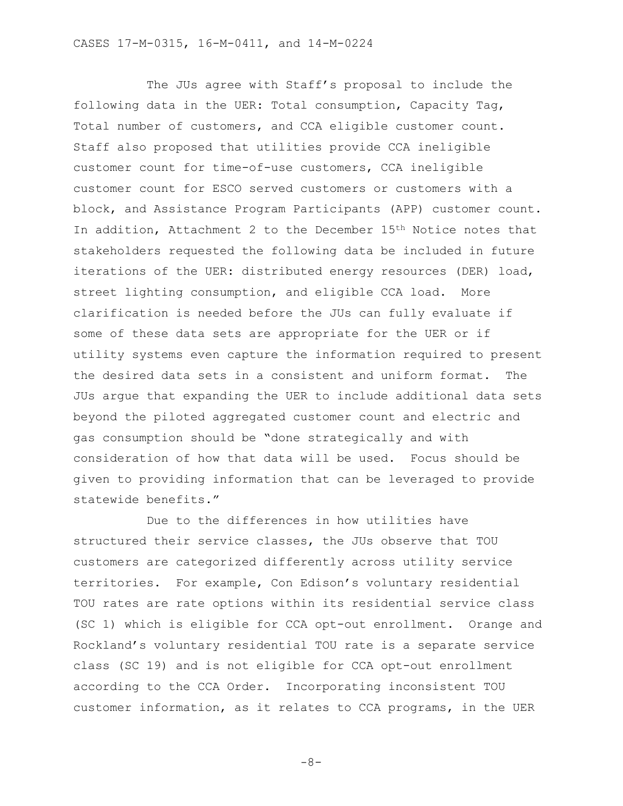The JUs agree with Staff's proposal to include the following data in the UER: Total consumption, Capacity Tag, Total number of customers, and CCA eligible customer count. Staff also proposed that utilities provide CCA ineligible customer count for time-of-use customers, CCA ineligible customer count for ESCO served customers or customers with a block, and Assistance Program Participants (APP) customer count. In addition, Attachment 2 to the December 15th Notice notes that stakeholders requested the following data be included in future iterations of the UER: distributed energy resources (DER) load, street lighting consumption, and eligible CCA load. More clarification is needed before the JUs can fully evaluate if some of these data sets are appropriate for the UER or if utility systems even capture the information required to present the desired data sets in a consistent and uniform format. The JUs argue that expanding the UER to include additional data sets beyond the piloted aggregated customer count and electric and gas consumption should be "done strategically and with consideration of how that data will be used. Focus should be given to providing information that can be leveraged to provide statewide benefits."

Due to the differences in how utilities have structured their service classes, the JUs observe that TOU customers are categorized differently across utility service territories. For example, Con Edison's voluntary residential TOU rates are rate options within its residential service class (SC 1) which is eligible for CCA opt-out enrollment. Orange and Rockland's voluntary residential TOU rate is a separate service class (SC 19) and is not eligible for CCA opt-out enrollment according to the CCA Order. Incorporating inconsistent TOU customer information, as it relates to CCA programs, in the UER

-8-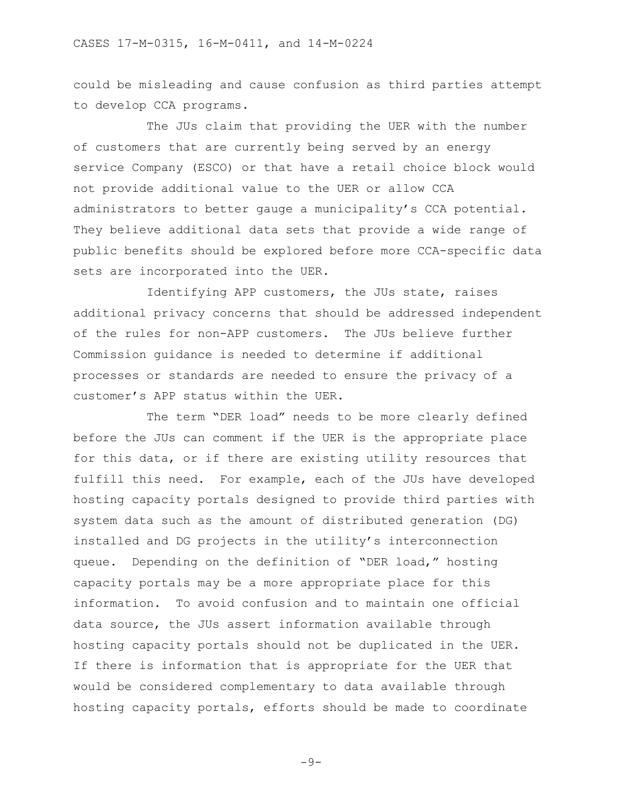could be misleading and cause confusion as third parties attempt to develop CCA programs.

The JUs claim that providing the UER with the number of customers that are currently being served by an energy service Company (ESCO) or that have a retail choice block would not provide additional value to the UER or allow CCA administrators to better gauge a municipality's CCA potential. They believe additional data sets that provide a wide range of public benefits should be explored before more CCA-specific data sets are incorporated into the UER.

Identifying APP customers, the JUs state, raises additional privacy concerns that should be addressed independent of the rules for non-APP customers. The JUs believe further Commission guidance is needed to determine if additional processes or standards are needed to ensure the privacy of a customer's APP status within the UER.

The term "DER load" needs to be more clearly defined before the JUs can comment if the UER is the appropriate place for this data, or if there are existing utility resources that fulfill this need. For example, each of the JUs have developed hosting capacity portals designed to provide third parties with system data such as the amount of distributed generation (DG) installed and DG projects in the utility's interconnection queue. Depending on the definition of "DER load," hosting capacity portals may be a more appropriate place for this information. To avoid confusion and to maintain one official data source, the JUs assert information available through hosting capacity portals should not be duplicated in the UER. If there is information that is appropriate for the UER that would be considered complementary to data available through hosting capacity portals, efforts should be made to coordinate

-9-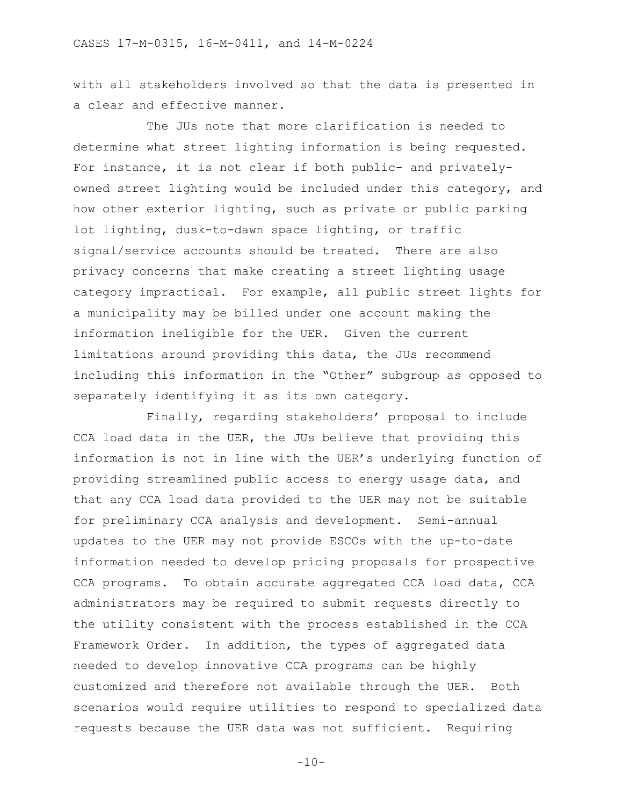with all stakeholders involved so that the data is presented in a clear and effective manner.

The JUs note that more clarification is needed to determine what street lighting information is being requested. For instance, it is not clear if both public- and privatelyowned street lighting would be included under this category, and how other exterior lighting, such as private or public parking lot lighting, dusk-to-dawn space lighting, or traffic signal/service accounts should be treated. There are also privacy concerns that make creating a street lighting usage category impractical. For example, all public street lights for a municipality may be billed under one account making the information ineligible for the UER. Given the current limitations around providing this data, the JUs recommend including this information in the "Other" subgroup as opposed to separately identifying it as its own category.

Finally, regarding stakeholders' proposal to include CCA load data in the UER, the JUs believe that providing this information is not in line with the UER's underlying function of providing streamlined public access to energy usage data, and that any CCA load data provided to the UER may not be suitable for preliminary CCA analysis and development. Semi-annual updates to the UER may not provide ESCOs with the up-to-date information needed to develop pricing proposals for prospective CCA programs. To obtain accurate aggregated CCA load data, CCA administrators may be required to submit requests directly to the utility consistent with the process established in the CCA Framework Order. In addition, the types of aggregated data needed to develop innovative CCA programs can be highly customized and therefore not available through the UER. Both scenarios would require utilities to respond to specialized data requests because the UER data was not sufficient. Requiring

 $-10-$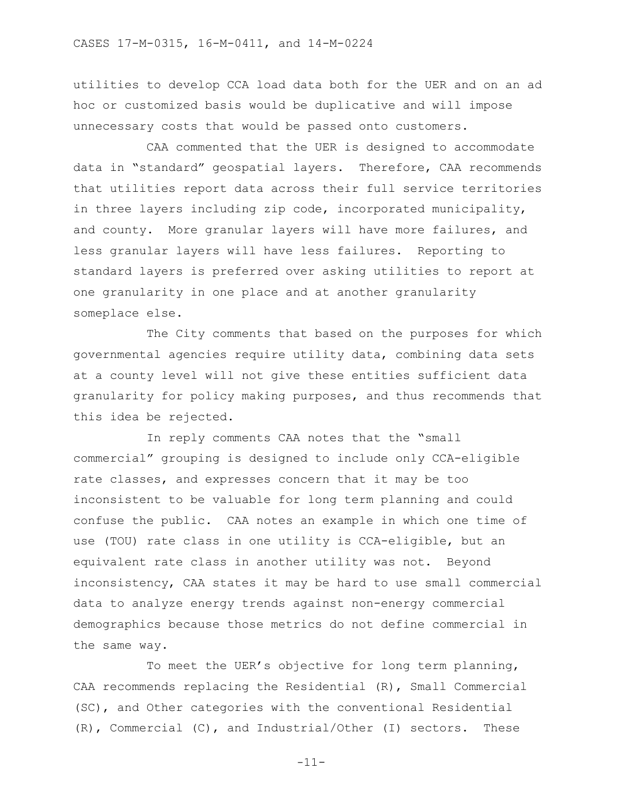utilities to develop CCA load data both for the UER and on an ad hoc or customized basis would be duplicative and will impose unnecessary costs that would be passed onto customers.

CAA commented that the UER is designed to accommodate data in "standard" geospatial layers. Therefore, CAA recommends that utilities report data across their full service territories in three layers including zip code, incorporated municipality, and county. More granular layers will have more failures, and less granular layers will have less failures. Reporting to standard layers is preferred over asking utilities to report at one granularity in one place and at another granularity someplace else.

The City comments that based on the purposes for which governmental agencies require utility data, combining data sets at a county level will not give these entities sufficient data granularity for policy making purposes, and thus recommends that this idea be rejected.

In reply comments CAA notes that the "small commercial" grouping is designed to include only CCA-eligible rate classes, and expresses concern that it may be too inconsistent to be valuable for long term planning and could confuse the public. CAA notes an example in which one time of use (TOU) rate class in one utility is CCA-eligible, but an equivalent rate class in another utility was not. Beyond inconsistency, CAA states it may be hard to use small commercial data to analyze energy trends against non-energy commercial demographics because those metrics do not define commercial in the same way.

To meet the UER's objective for long term planning, CAA recommends replacing the Residential (R), Small Commercial (SC), and Other categories with the conventional Residential (R), Commercial (C), and Industrial/Other (I) sectors. These

-11-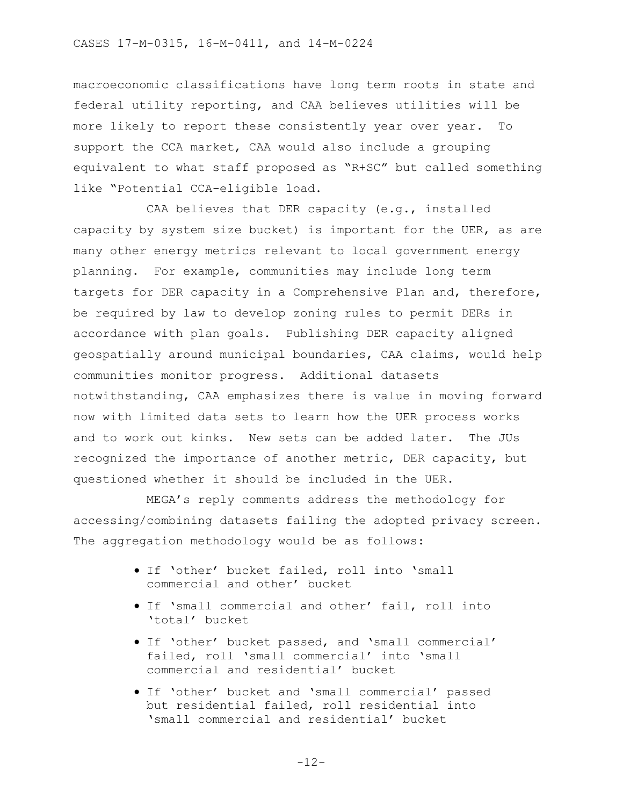macroeconomic classifications have long term roots in state and federal utility reporting, and CAA believes utilities will be more likely to report these consistently year over year. To support the CCA market, CAA would also include a grouping equivalent to what staff proposed as "R+SC" but called something like "Potential CCA-eligible load.

CAA believes that DER capacity (e.g., installed capacity by system size bucket) is important for the UER, as are many other energy metrics relevant to local government energy planning. For example, communities may include long term targets for DER capacity in a Comprehensive Plan and, therefore, be required by law to develop zoning rules to permit DERs in accordance with plan goals. Publishing DER capacity aligned geospatially around municipal boundaries, CAA claims, would help communities monitor progress. Additional datasets notwithstanding, CAA emphasizes there is value in moving forward now with limited data sets to learn how the UER process works and to work out kinks. New sets can be added later. The JUs recognized the importance of another metric, DER capacity, but questioned whether it should be included in the UER.

MEGA's reply comments address the methodology for accessing/combining datasets failing the adopted privacy screen. The aggregation methodology would be as follows:

- If 'other' bucket failed, roll into 'small commercial and other' bucket
- If 'small commercial and other' fail, roll into 'total' bucket
- If 'other' bucket passed, and 'small commercial' failed, roll 'small commercial' into 'small commercial and residential' bucket
- If 'other' bucket and 'small commercial' passed but residential failed, roll residential into 'small commercial and residential' bucket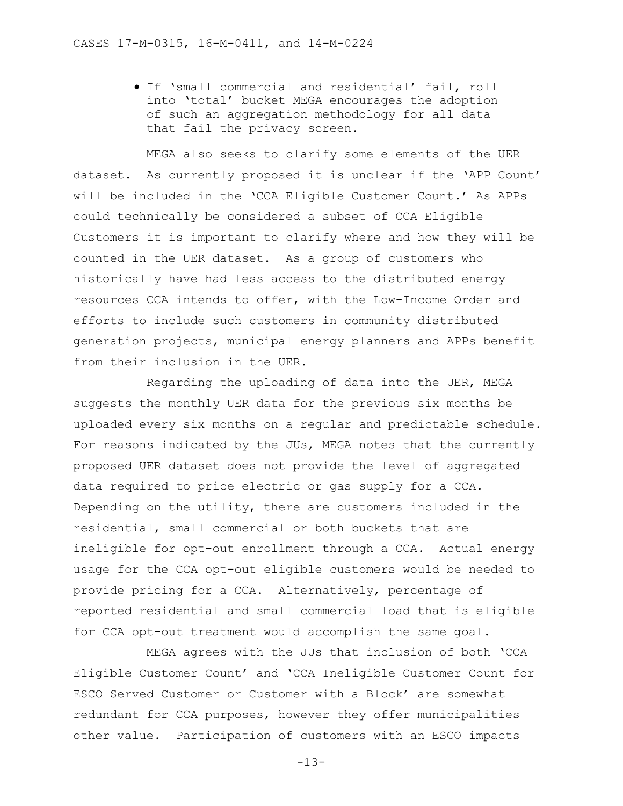• If 'small commercial and residential' fail, roll into 'total' bucket MEGA encourages the adoption of such an aggregation methodology for all data that fail the privacy screen.

MEGA also seeks to clarify some elements of the UER dataset. As currently proposed it is unclear if the 'APP Count' will be included in the 'CCA Eligible Customer Count.' As APPs could technically be considered a subset of CCA Eligible Customers it is important to clarify where and how they will be counted in the UER dataset. As a group of customers who historically have had less access to the distributed energy resources CCA intends to offer, with the Low-Income Order and efforts to include such customers in community distributed generation projects, municipal energy planners and APPs benefit from their inclusion in the UER.

Regarding the uploading of data into the UER, MEGA suggests the monthly UER data for the previous six months be uploaded every six months on a regular and predictable schedule. For reasons indicated by the JUs, MEGA notes that the currently proposed UER dataset does not provide the level of aggregated data required to price electric or gas supply for a CCA. Depending on the utility, there are customers included in the residential, small commercial or both buckets that are ineligible for opt-out enrollment through a CCA. Actual energy usage for the CCA opt-out eligible customers would be needed to provide pricing for a CCA. Alternatively, percentage of reported residential and small commercial load that is eligible for CCA opt-out treatment would accomplish the same goal.

MEGA agrees with the JUs that inclusion of both 'CCA Eligible Customer Count' and 'CCA Ineligible Customer Count for ESCO Served Customer or Customer with a Block' are somewhat redundant for CCA purposes, however they offer municipalities other value. Participation of customers with an ESCO impacts

 $-13-$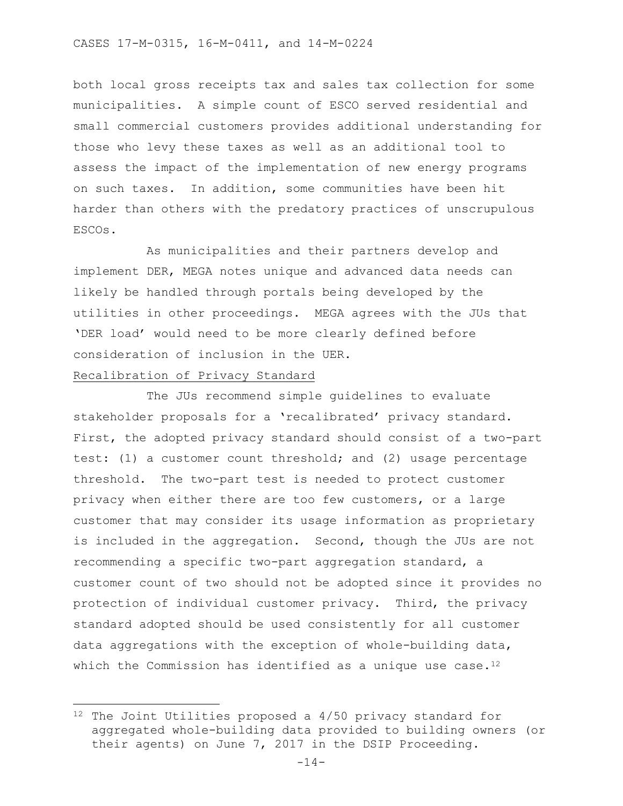both local gross receipts tax and sales tax collection for some municipalities. A simple count of ESCO served residential and small commercial customers provides additional understanding for those who levy these taxes as well as an additional tool to assess the impact of the implementation of new energy programs on such taxes. In addition, some communities have been hit harder than others with the predatory practices of unscrupulous ESCOs.

As municipalities and their partners develop and implement DER, MEGA notes unique and advanced data needs can likely be handled through portals being developed by the utilities in other proceedings. MEGA agrees with the JUs that 'DER load' would need to be more clearly defined before consideration of inclusion in the UER.

### Recalibration of Privacy Standard

 $\overline{\phantom{a}}$ 

The JUs recommend simple guidelines to evaluate stakeholder proposals for a 'recalibrated' privacy standard. First, the adopted privacy standard should consist of a two-part test: (1) a customer count threshold; and (2) usage percentage threshold. The two-part test is needed to protect customer privacy when either there are too few customers, or a large customer that may consider its usage information as proprietary is included in the aggregation. Second, though the JUs are not recommending a specific two-part aggregation standard, a customer count of two should not be adopted since it provides no protection of individual customer privacy. Third, the privacy standard adopted should be used consistently for all customer data aggregations with the exception of whole-building data, which the Commission has identified as a unique use case.<sup>12</sup>

<sup>12</sup> The Joint Utilities proposed a 4/50 privacy standard for aggregated whole-building data provided to building owners (or their agents) on June 7, 2017 in the DSIP Proceeding.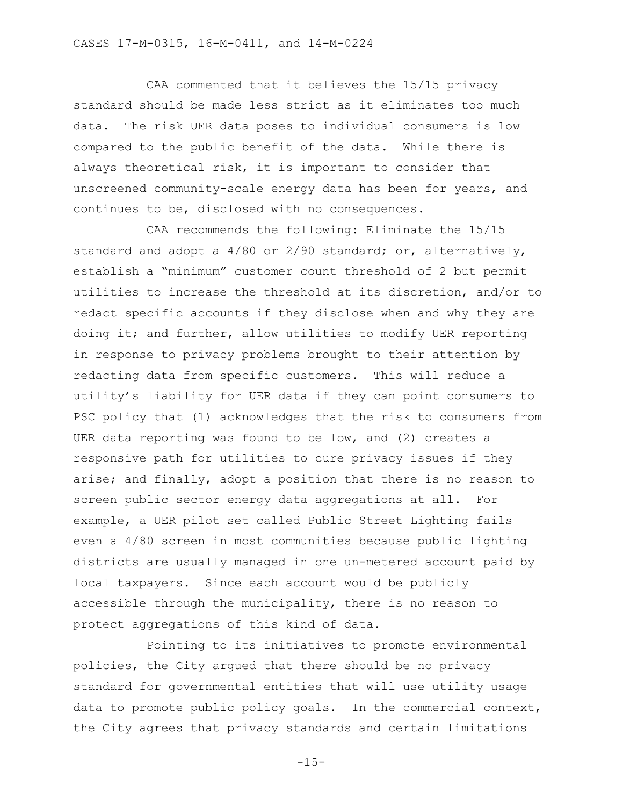CAA commented that it believes the 15/15 privacy standard should be made less strict as it eliminates too much data. The risk UER data poses to individual consumers is low compared to the public benefit of the data. While there is always theoretical risk, it is important to consider that unscreened community-scale energy data has been for years, and continues to be, disclosed with no consequences.

CAA recommends the following: Eliminate the 15/15 standard and adopt a 4/80 or 2/90 standard; or, alternatively, establish a "minimum" customer count threshold of 2 but permit utilities to increase the threshold at its discretion, and/or to redact specific accounts if they disclose when and why they are doing it; and further, allow utilities to modify UER reporting in response to privacy problems brought to their attention by redacting data from specific customers. This will reduce a utility's liability for UER data if they can point consumers to PSC policy that (1) acknowledges that the risk to consumers from UER data reporting was found to be low, and (2) creates a responsive path for utilities to cure privacy issues if they arise; and finally, adopt a position that there is no reason to screen public sector energy data aggregations at all. For example, a UER pilot set called Public Street Lighting fails even a 4/80 screen in most communities because public lighting districts are usually managed in one un-metered account paid by local taxpayers. Since each account would be publicly accessible through the municipality, there is no reason to protect aggregations of this kind of data.

Pointing to its initiatives to promote environmental policies, the City argued that there should be no privacy standard for governmental entities that will use utility usage data to promote public policy goals. In the commercial context, the City agrees that privacy standards and certain limitations

 $-15-$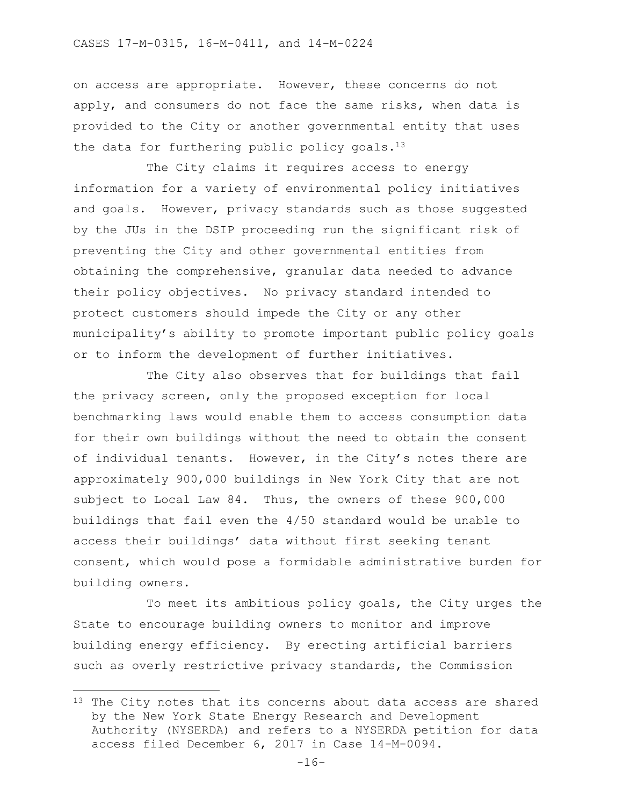on access are appropriate. However, these concerns do not apply, and consumers do not face the same risks, when data is provided to the City or another governmental entity that uses the data for furthering public policy goals. $13$ 

The City claims it requires access to energy information for a variety of environmental policy initiatives and goals. However, privacy standards such as those suggested by the JUs in the DSIP proceeding run the significant risk of preventing the City and other governmental entities from obtaining the comprehensive, granular data needed to advance their policy objectives. No privacy standard intended to protect customers should impede the City or any other municipality's ability to promote important public policy goals or to inform the development of further initiatives.

The City also observes that for buildings that fail the privacy screen, only the proposed exception for local benchmarking laws would enable them to access consumption data for their own buildings without the need to obtain the consent of individual tenants. However, in the City's notes there are approximately 900,000 buildings in New York City that are not subject to Local Law 84. Thus, the owners of these 900,000 buildings that fail even the 4/50 standard would be unable to access their buildings' data without first seeking tenant consent, which would pose a formidable administrative burden for building owners.

To meet its ambitious policy goals, the City urges the State to encourage building owners to monitor and improve building energy efficiency. By erecting artificial barriers such as overly restrictive privacy standards, the Commission

 $\overline{\phantom{a}}$ 

<sup>&</sup>lt;sup>13</sup> The City notes that its concerns about data access are shared by the New York State Energy Research and Development Authority (NYSERDA) and refers to a NYSERDA petition for data access filed December 6, 2017 in Case 14-M-0094.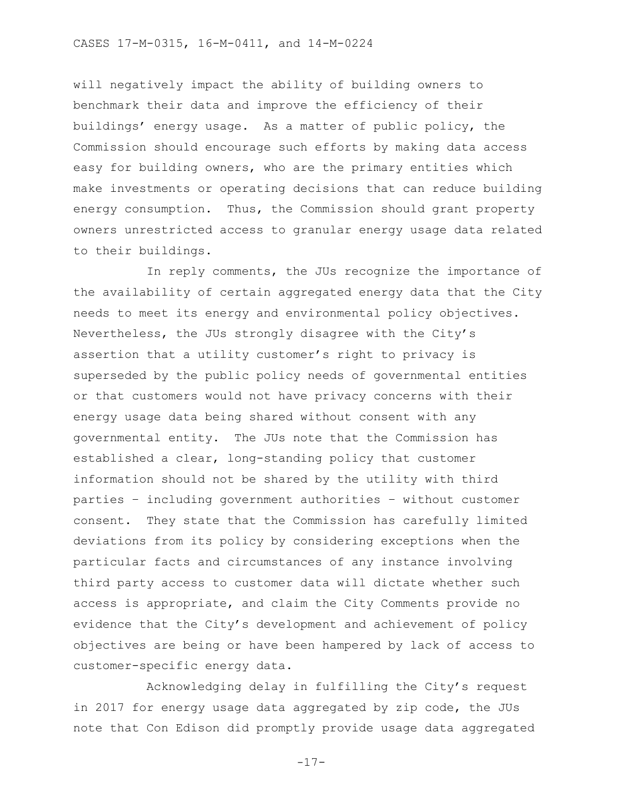will negatively impact the ability of building owners to benchmark their data and improve the efficiency of their buildings' energy usage. As a matter of public policy, the Commission should encourage such efforts by making data access easy for building owners, who are the primary entities which make investments or operating decisions that can reduce building energy consumption. Thus, the Commission should grant property owners unrestricted access to granular energy usage data related to their buildings.

In reply comments, the JUs recognize the importance of the availability of certain aggregated energy data that the City needs to meet its energy and environmental policy objectives. Nevertheless, the JUs strongly disagree with the City's assertion that a utility customer's right to privacy is superseded by the public policy needs of governmental entities or that customers would not have privacy concerns with their energy usage data being shared without consent with any governmental entity. The JUs note that the Commission has established a clear, long-standing policy that customer information should not be shared by the utility with third parties – including government authorities – without customer consent. They state that the Commission has carefully limited deviations from its policy by considering exceptions when the particular facts and circumstances of any instance involving third party access to customer data will dictate whether such access is appropriate, and claim the City Comments provide no evidence that the City's development and achievement of policy objectives are being or have been hampered by lack of access to customer-specific energy data.

Acknowledging delay in fulfilling the City's request in 2017 for energy usage data aggregated by zip code, the JUs note that Con Edison did promptly provide usage data aggregated

-17-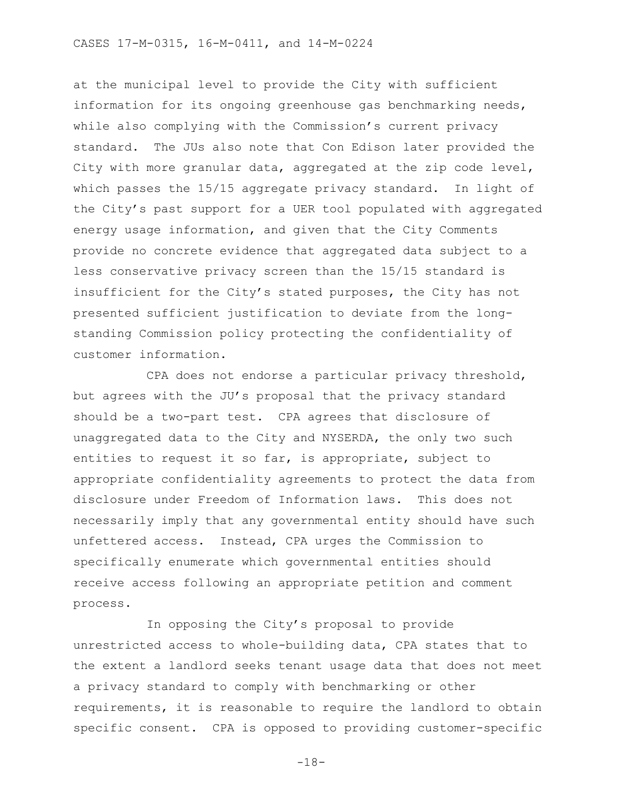at the municipal level to provide the City with sufficient information for its ongoing greenhouse gas benchmarking needs, while also complying with the Commission's current privacy standard. The JUs also note that Con Edison later provided the City with more granular data, aggregated at the zip code level, which passes the 15/15 aggregate privacy standard. In light of the City's past support for a UER tool populated with aggregated energy usage information, and given that the City Comments provide no concrete evidence that aggregated data subject to a less conservative privacy screen than the 15/15 standard is insufficient for the City's stated purposes, the City has not presented sufficient justification to deviate from the longstanding Commission policy protecting the confidentiality of customer information.

CPA does not endorse a particular privacy threshold, but agrees with the JU's proposal that the privacy standard should be a two-part test. CPA agrees that disclosure of unaggregated data to the City and NYSERDA, the only two such entities to request it so far, is appropriate, subject to appropriate confidentiality agreements to protect the data from disclosure under Freedom of Information laws. This does not necessarily imply that any governmental entity should have such unfettered access. Instead, CPA urges the Commission to specifically enumerate which governmental entities should receive access following an appropriate petition and comment process.

In opposing the City's proposal to provide unrestricted access to whole-building data, CPA states that to the extent a landlord seeks tenant usage data that does not meet a privacy standard to comply with benchmarking or other requirements, it is reasonable to require the landlord to obtain specific consent. CPA is opposed to providing customer-specific

-18-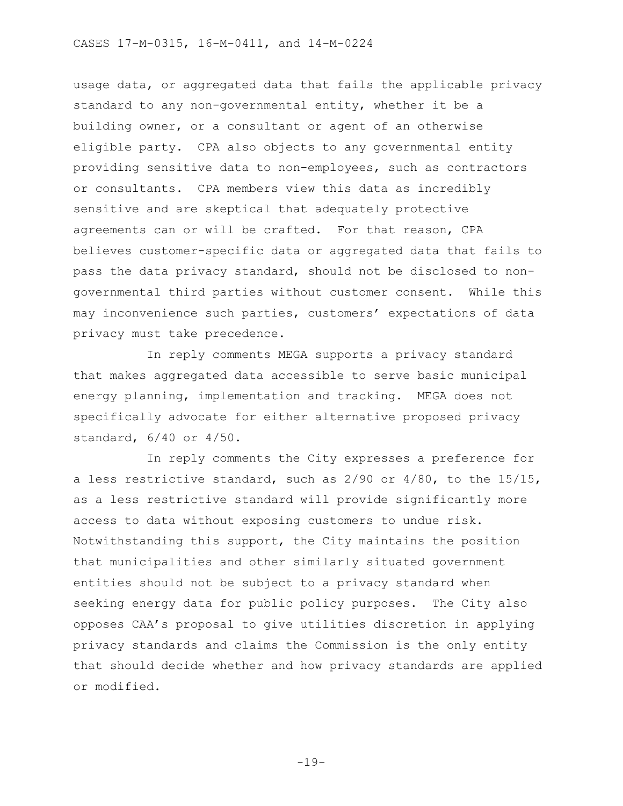usage data, or aggregated data that fails the applicable privacy standard to any non-governmental entity, whether it be a building owner, or a consultant or agent of an otherwise eligible party. CPA also objects to any governmental entity providing sensitive data to non-employees, such as contractors or consultants. CPA members view this data as incredibly sensitive and are skeptical that adequately protective agreements can or will be crafted. For that reason, CPA believes customer-specific data or aggregated data that fails to pass the data privacy standard, should not be disclosed to nongovernmental third parties without customer consent. While this may inconvenience such parties, customers' expectations of data privacy must take precedence.

In reply comments MEGA supports a privacy standard that makes aggregated data accessible to serve basic municipal energy planning, implementation and tracking. MEGA does not specifically advocate for either alternative proposed privacy standard, 6/40 or 4/50.

In reply comments the City expresses a preference for a less restrictive standard, such as 2/90 or 4/80, to the 15/15, as a less restrictive standard will provide significantly more access to data without exposing customers to undue risk. Notwithstanding this support, the City maintains the position that municipalities and other similarly situated government entities should not be subject to a privacy standard when seeking energy data for public policy purposes. The City also opposes CAA's proposal to give utilities discretion in applying privacy standards and claims the Commission is the only entity that should decide whether and how privacy standards are applied or modified.

-19-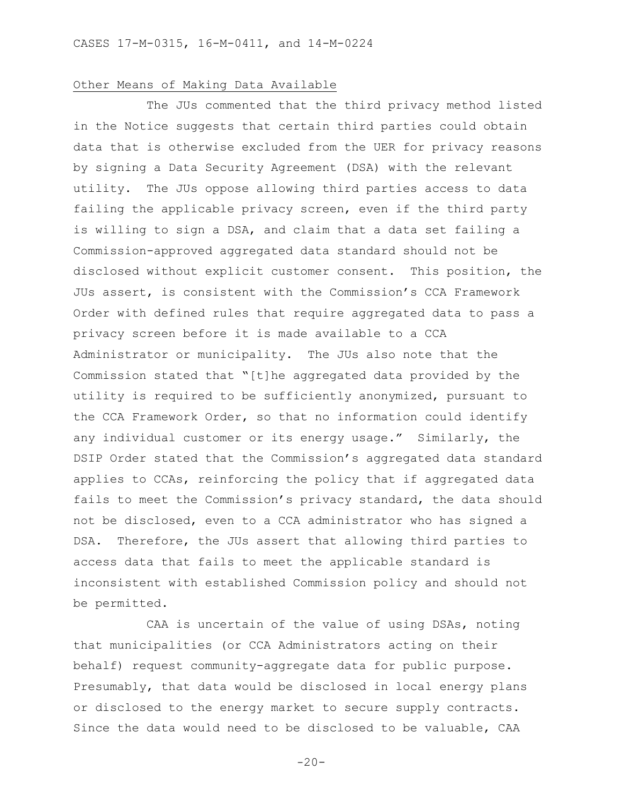#### Other Means of Making Data Available

The JUs commented that the third privacy method listed in the Notice suggests that certain third parties could obtain data that is otherwise excluded from the UER for privacy reasons by signing a Data Security Agreement (DSA) with the relevant utility. The JUs oppose allowing third parties access to data failing the applicable privacy screen, even if the third party is willing to sign a DSA, and claim that a data set failing a Commission-approved aggregated data standard should not be disclosed without explicit customer consent. This position, the JUs assert, is consistent with the Commission's CCA Framework Order with defined rules that require aggregated data to pass a privacy screen before it is made available to a CCA Administrator or municipality. The JUs also note that the Commission stated that "[t]he aggregated data provided by the utility is required to be sufficiently anonymized, pursuant to the CCA Framework Order, so that no information could identify any individual customer or its energy usage." Similarly, the DSIP Order stated that the Commission's aggregated data standard applies to CCAs, reinforcing the policy that if aggregated data fails to meet the Commission's privacy standard, the data should not be disclosed, even to a CCA administrator who has signed a DSA. Therefore, the JUs assert that allowing third parties to access data that fails to meet the applicable standard is inconsistent with established Commission policy and should not be permitted.

CAA is uncertain of the value of using DSAs, noting that municipalities (or CCA Administrators acting on their behalf) request community-aggregate data for public purpose. Presumably, that data would be disclosed in local energy plans or disclosed to the energy market to secure supply contracts. Since the data would need to be disclosed to be valuable, CAA

 $-20-$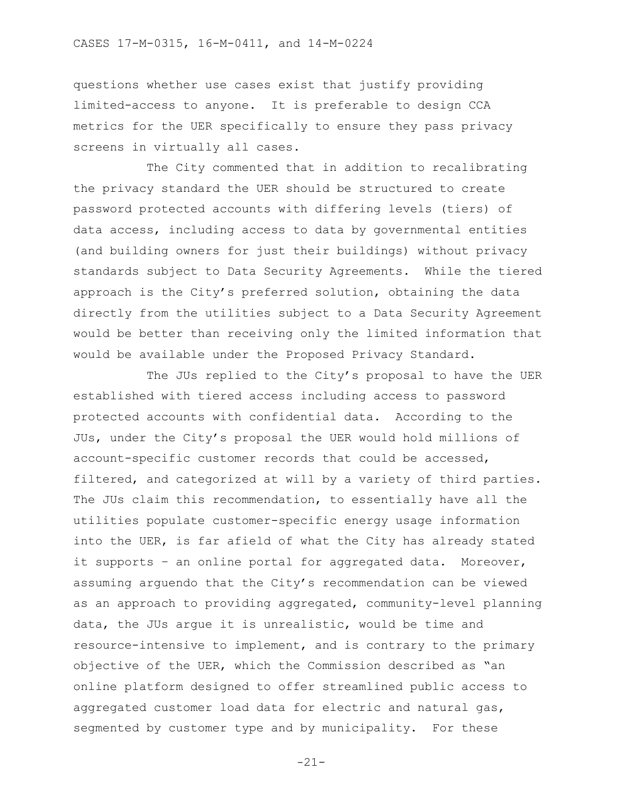questions whether use cases exist that justify providing limited-access to anyone. It is preferable to design CCA metrics for the UER specifically to ensure they pass privacy screens in virtually all cases.

The City commented that in addition to recalibrating the privacy standard the UER should be structured to create password protected accounts with differing levels (tiers) of data access, including access to data by governmental entities (and building owners for just their buildings) without privacy standards subject to Data Security Agreements. While the tiered approach is the City's preferred solution, obtaining the data directly from the utilities subject to a Data Security Agreement would be better than receiving only the limited information that would be available under the Proposed Privacy Standard.

The JUs replied to the City's proposal to have the UER established with tiered access including access to password protected accounts with confidential data. According to the JUs, under the City's proposal the UER would hold millions of account-specific customer records that could be accessed, filtered, and categorized at will by a variety of third parties. The JUs claim this recommendation, to essentially have all the utilities populate customer-specific energy usage information into the UER, is far afield of what the City has already stated it supports – an online portal for aggregated data. Moreover, assuming arguendo that the City's recommendation can be viewed as an approach to providing aggregated, community-level planning data, the JUs argue it is unrealistic, would be time and resource-intensive to implement, and is contrary to the primary objective of the UER, which the Commission described as "an online platform designed to offer streamlined public access to aggregated customer load data for electric and natural gas, segmented by customer type and by municipality. For these

-21-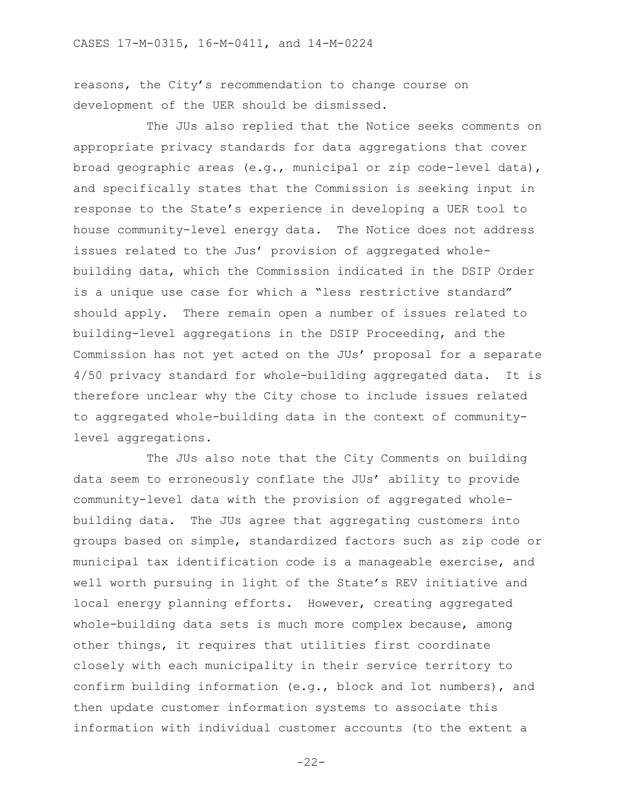reasons, the City's recommendation to change course on development of the UER should be dismissed.

The JUs also replied that the Notice seeks comments on appropriate privacy standards for data aggregations that cover broad geographic areas (e.g., municipal or zip code-level data), and specifically states that the Commission is seeking input in response to the State's experience in developing a UER tool to house community-level energy data. The Notice does not address issues related to the Jus' provision of aggregated wholebuilding data, which the Commission indicated in the DSIP Order is a unique use case for which a "less restrictive standard" should apply. There remain open a number of issues related to building-level aggregations in the DSIP Proceeding, and the Commission has not yet acted on the JUs' proposal for a separate 4/50 privacy standard for whole-building aggregated data. It is therefore unclear why the City chose to include issues related to aggregated whole-building data in the context of communitylevel aggregations.

The JUs also note that the City Comments on building data seem to erroneously conflate the JUs' ability to provide community-level data with the provision of aggregated wholebuilding data. The JUs agree that aggregating customers into groups based on simple, standardized factors such as zip code or municipal tax identification code is a manageable exercise, and well worth pursuing in light of the State's REV initiative and local energy planning efforts. However, creating aggregated whole-building data sets is much more complex because, among other things, it requires that utilities first coordinate closely with each municipality in their service territory to confirm building information (e.g., block and lot numbers), and then update customer information systems to associate this information with individual customer accounts (to the extent a

-22-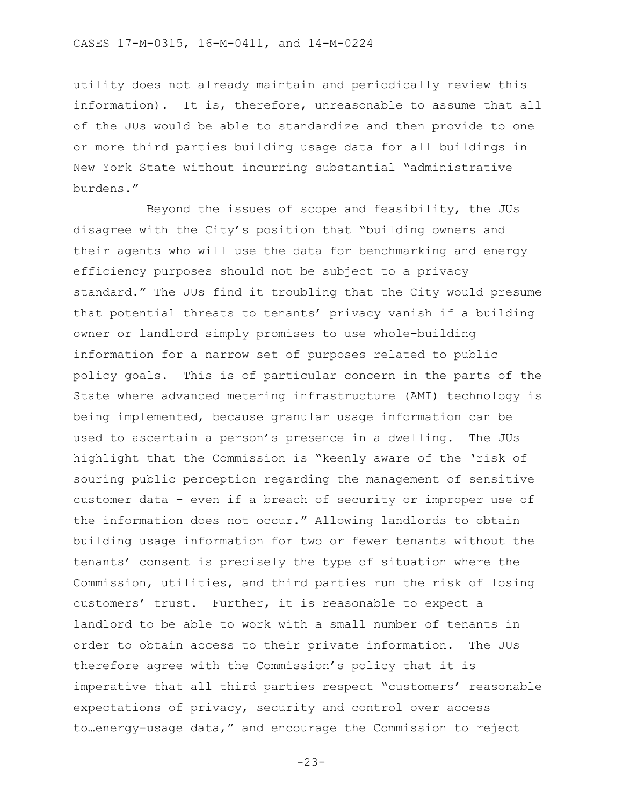utility does not already maintain and periodically review this information). It is, therefore, unreasonable to assume that all of the JUs would be able to standardize and then provide to one or more third parties building usage data for all buildings in New York State without incurring substantial "administrative burdens."

Beyond the issues of scope and feasibility, the JUs disagree with the City's position that "building owners and their agents who will use the data for benchmarking and energy efficiency purposes should not be subject to a privacy standard." The JUs find it troubling that the City would presume that potential threats to tenants' privacy vanish if a building owner or landlord simply promises to use whole-building information for a narrow set of purposes related to public policy goals. This is of particular concern in the parts of the State where advanced metering infrastructure (AMI) technology is being implemented, because granular usage information can be used to ascertain a person's presence in a dwelling. The JUs highlight that the Commission is "keenly aware of the 'risk of souring public perception regarding the management of sensitive customer data – even if a breach of security or improper use of the information does not occur." Allowing landlords to obtain building usage information for two or fewer tenants without the tenants' consent is precisely the type of situation where the Commission, utilities, and third parties run the risk of losing customers' trust. Further, it is reasonable to expect a landlord to be able to work with a small number of tenants in order to obtain access to their private information. The JUs therefore agree with the Commission's policy that it is imperative that all third parties respect "customers' reasonable expectations of privacy, security and control over access to…energy-usage data," and encourage the Commission to reject

-23-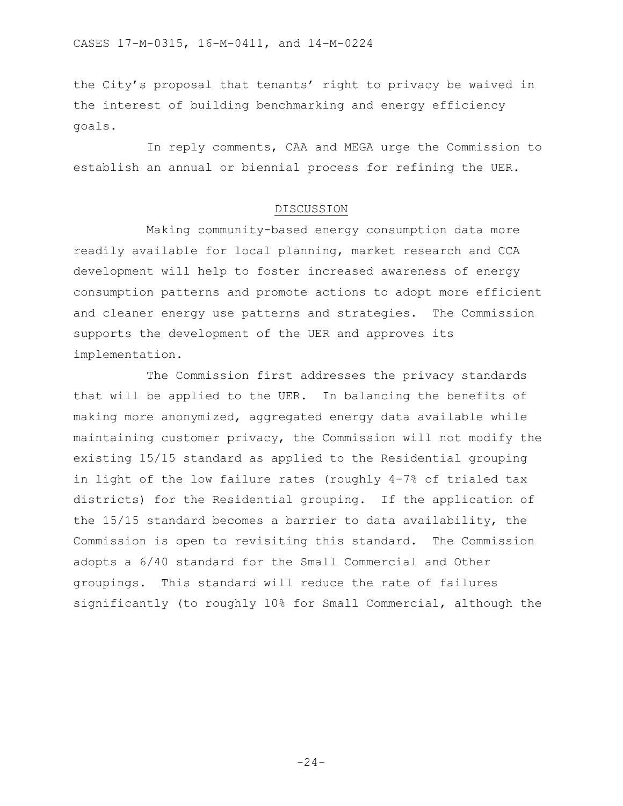the City's proposal that tenants' right to privacy be waived in the interest of building benchmarking and energy efficiency goals.

In reply comments, CAA and MEGA urge the Commission to establish an annual or biennial process for refining the UER.

#### DISCUSSION

Making community-based energy consumption data more readily available for local planning, market research and CCA development will help to foster increased awareness of energy consumption patterns and promote actions to adopt more efficient and cleaner energy use patterns and strategies. The Commission supports the development of the UER and approves its implementation.

The Commission first addresses the privacy standards that will be applied to the UER. In balancing the benefits of making more anonymized, aggregated energy data available while maintaining customer privacy, the Commission will not modify the existing 15/15 standard as applied to the Residential grouping in light of the low failure rates (roughly 4-7% of trialed tax districts) for the Residential grouping. If the application of the 15/15 standard becomes a barrier to data availability, the Commission is open to revisiting this standard. The Commission adopts a 6/40 standard for the Small Commercial and Other groupings. This standard will reduce the rate of failures significantly (to roughly 10% for Small Commercial, although the

 $-24-$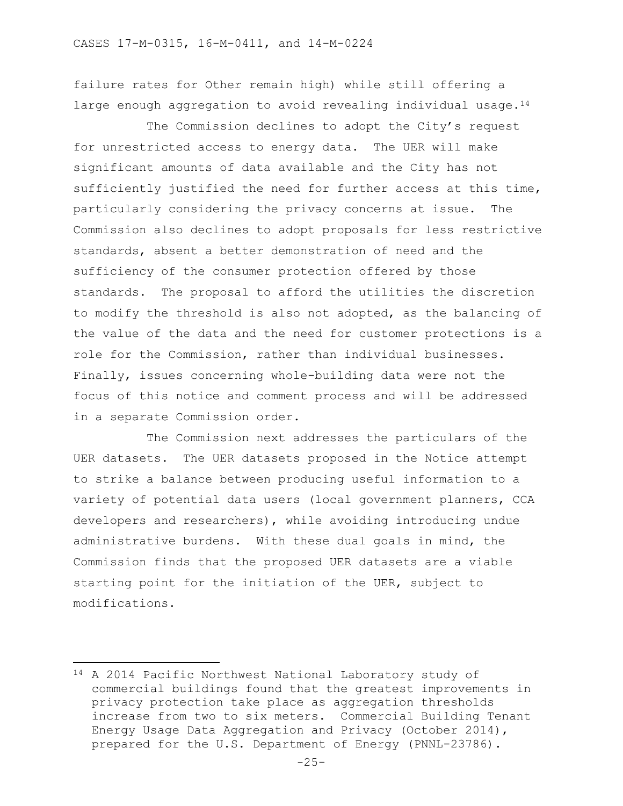failure rates for Other remain high) while still offering a large enough aggregation to avoid revealing individual usage. $14$ 

The Commission declines to adopt the City's request for unrestricted access to energy data. The UER will make significant amounts of data available and the City has not sufficiently justified the need for further access at this time, particularly considering the privacy concerns at issue. The Commission also declines to adopt proposals for less restrictive standards, absent a better demonstration of need and the sufficiency of the consumer protection offered by those standards. The proposal to afford the utilities the discretion to modify the threshold is also not adopted, as the balancing of the value of the data and the need for customer protections is a role for the Commission, rather than individual businesses. Finally, issues concerning whole-building data were not the focus of this notice and comment process and will be addressed in a separate Commission order.

The Commission next addresses the particulars of the UER datasets. The UER datasets proposed in the Notice attempt to strike a balance between producing useful information to a variety of potential data users (local government planners, CCA developers and researchers), while avoiding introducing undue administrative burdens. With these dual goals in mind, the Commission finds that the proposed UER datasets are a viable starting point for the initiation of the UER, subject to modifications.

 $\overline{a}$ 

<sup>14</sup> A 2014 Pacific Northwest National Laboratory study of commercial buildings found that the greatest improvements in privacy protection take place as aggregation thresholds increase from two to six meters. Commercial Building Tenant Energy Usage Data Aggregation and Privacy (October 2014), prepared for the U.S. Department of Energy (PNNL-23786).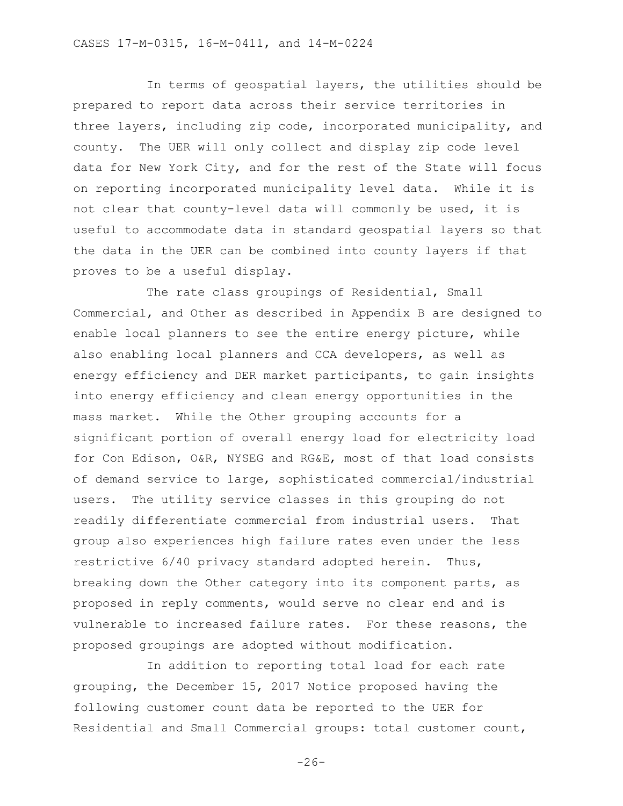In terms of geospatial layers, the utilities should be prepared to report data across their service territories in three layers, including zip code, incorporated municipality, and county. The UER will only collect and display zip code level data for New York City, and for the rest of the State will focus on reporting incorporated municipality level data. While it is not clear that county-level data will commonly be used, it is useful to accommodate data in standard geospatial layers so that the data in the UER can be combined into county layers if that proves to be a useful display.

The rate class groupings of Residential, Small Commercial, and Other as described in Appendix B are designed to enable local planners to see the entire energy picture, while also enabling local planners and CCA developers, as well as energy efficiency and DER market participants, to gain insights into energy efficiency and clean energy opportunities in the mass market. While the Other grouping accounts for a significant portion of overall energy load for electricity load for Con Edison, O&R, NYSEG and RG&E, most of that load consists of demand service to large, sophisticated commercial/industrial users. The utility service classes in this grouping do not readily differentiate commercial from industrial users. That group also experiences high failure rates even under the less restrictive 6/40 privacy standard adopted herein. Thus, breaking down the Other category into its component parts, as proposed in reply comments, would serve no clear end and is vulnerable to increased failure rates. For these reasons, the proposed groupings are adopted without modification.

In addition to reporting total load for each rate grouping, the December 15, 2017 Notice proposed having the following customer count data be reported to the UER for Residential and Small Commercial groups: total customer count,

-26-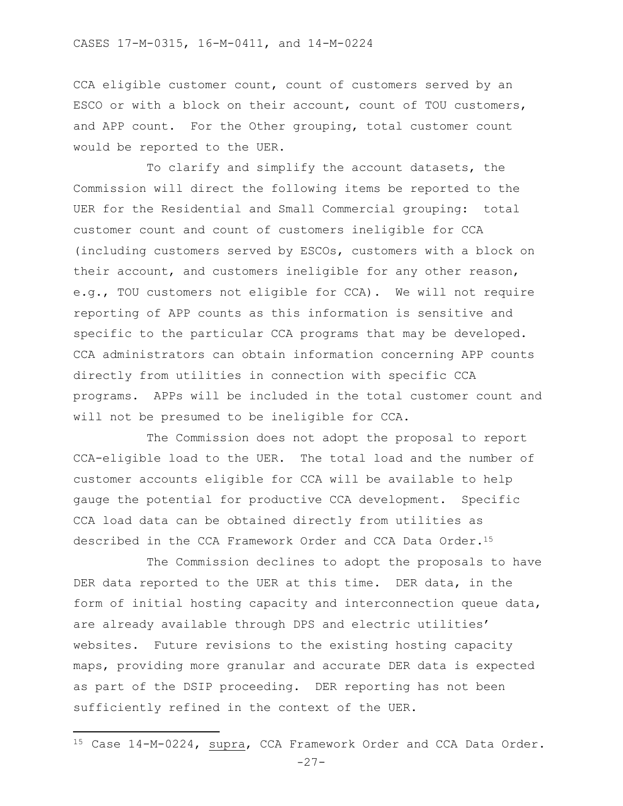CCA eligible customer count, count of customers served by an ESCO or with a block on their account, count of TOU customers, and APP count. For the Other grouping, total customer count would be reported to the UER.

To clarify and simplify the account datasets, the Commission will direct the following items be reported to the UER for the Residential and Small Commercial grouping: total customer count and count of customers ineligible for CCA (including customers served by ESCOs, customers with a block on their account, and customers ineligible for any other reason, e.g., TOU customers not eligible for CCA). We will not require reporting of APP counts as this information is sensitive and specific to the particular CCA programs that may be developed. CCA administrators can obtain information concerning APP counts directly from utilities in connection with specific CCA programs. APPs will be included in the total customer count and will not be presumed to be ineligible for CCA.

The Commission does not adopt the proposal to report CCA-eligible load to the UER. The total load and the number of customer accounts eligible for CCA will be available to help gauge the potential for productive CCA development. Specific CCA load data can be obtained directly from utilities as described in the CCA Framework Order and CCA Data Order.<sup>15</sup>

The Commission declines to adopt the proposals to have DER data reported to the UER at this time. DER data, in the form of initial hosting capacity and interconnection queue data, are already available through DPS and electric utilities' websites. Future revisions to the existing hosting capacity maps, providing more granular and accurate DER data is expected as part of the DSIP proceeding. DER reporting has not been sufficiently refined in the context of the UER.

 $\overline{\phantom{a}}$ 

<sup>15</sup> Case 14-M-0224, supra, CCA Framework Order and CCA Data Order.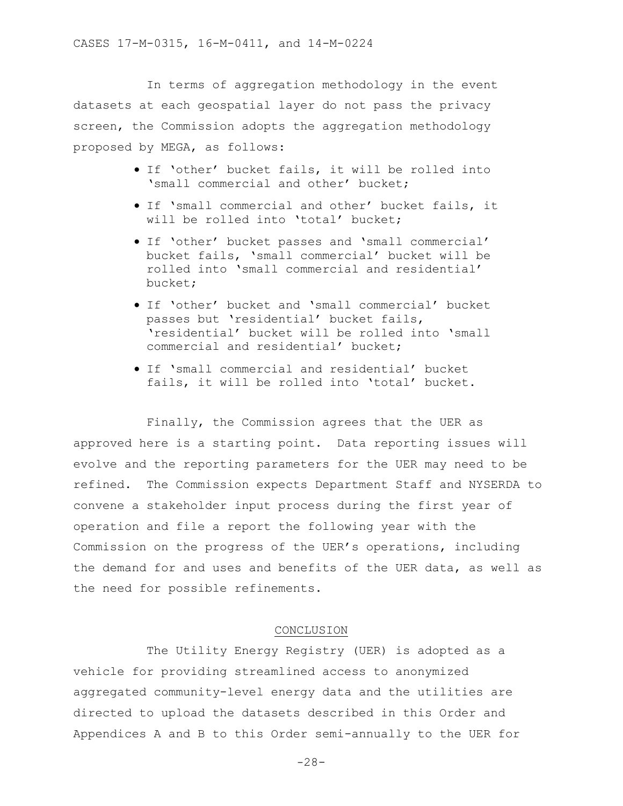In terms of aggregation methodology in the event datasets at each geospatial layer do not pass the privacy screen, the Commission adopts the aggregation methodology proposed by MEGA, as follows:

- If 'other' bucket fails, it will be rolled into 'small commercial and other' bucket;
- If 'small commercial and other' bucket fails, it will be rolled into 'total' bucket;
- If 'other' bucket passes and 'small commercial' bucket fails, 'small commercial' bucket will be rolled into 'small commercial and residential' bucket;
- If 'other' bucket and 'small commercial' bucket passes but 'residential' bucket fails, 'residential' bucket will be rolled into 'small commercial and residential' bucket;
- If 'small commercial and residential' bucket fails, it will be rolled into 'total' bucket.

Finally, the Commission agrees that the UER as approved here is a starting point. Data reporting issues will evolve and the reporting parameters for the UER may need to be refined. The Commission expects Department Staff and NYSERDA to convene a stakeholder input process during the first year of operation and file a report the following year with the Commission on the progress of the UER's operations, including the demand for and uses and benefits of the UER data, as well as the need for possible refinements.

#### CONCLUSION

The Utility Energy Registry (UER) is adopted as a vehicle for providing streamlined access to anonymized aggregated community-level energy data and the utilities are directed to upload the datasets described in this Order and Appendices A and B to this Order semi-annually to the UER for

-28-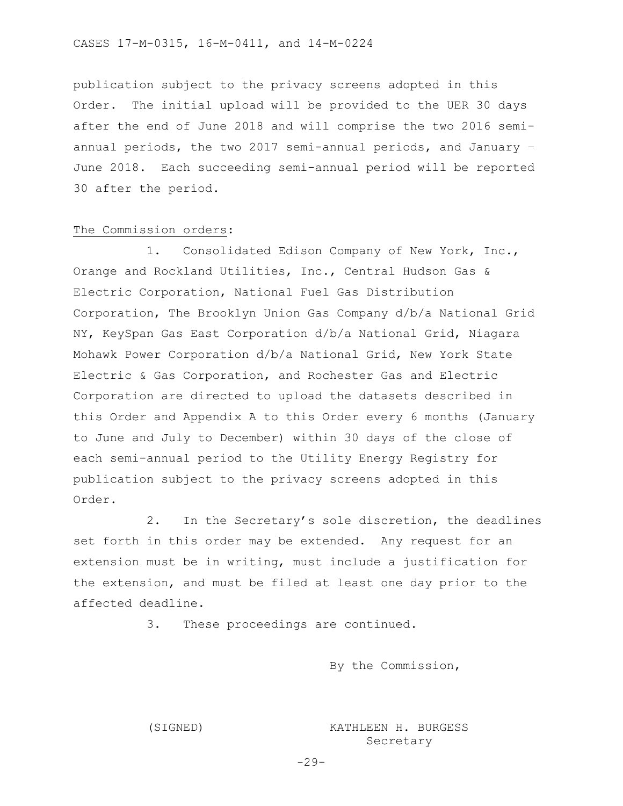publication subject to the privacy screens adopted in this Order. The initial upload will be provided to the UER 30 days after the end of June 2018 and will comprise the two 2016 semiannual periods, the two 2017 semi-annual periods, and January – June 2018. Each succeeding semi-annual period will be reported 30 after the period.

#### The Commission orders:

1. Consolidated Edison Company of New York, Inc., Orange and Rockland Utilities, Inc., Central Hudson Gas & Electric Corporation, National Fuel Gas Distribution Corporation, The Brooklyn Union Gas Company d/b/a National Grid NY, KeySpan Gas East Corporation d/b/a National Grid, Niagara Mohawk Power Corporation d/b/a National Grid, New York State Electric & Gas Corporation, and Rochester Gas and Electric Corporation are directed to upload the datasets described in this Order and Appendix A to this Order every 6 months (January to June and July to December) within 30 days of the close of each semi-annual period to the Utility Energy Registry for publication subject to the privacy screens adopted in this Order.

2. In the Secretary's sole discretion, the deadlines set forth in this order may be extended. Any request for an extension must be in writing, must include a justification for the extension, and must be filed at least one day prior to the affected deadline.

3. These proceedings are continued.

By the Commission,

(SIGNED) KATHLEEN H. BURGESS Secretary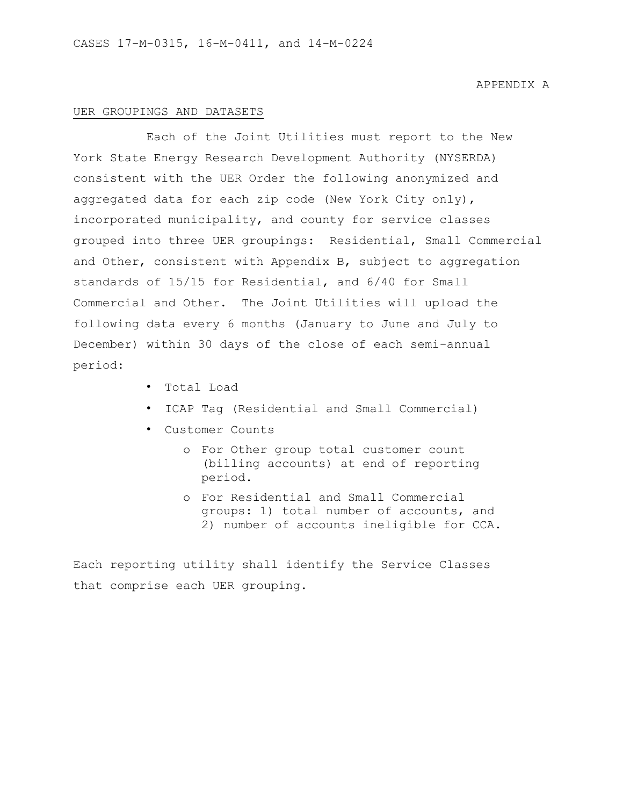#### UER GROUPINGS AND DATASETS

Each of the Joint Utilities must report to the New York State Energy Research Development Authority (NYSERDA) consistent with the UER Order the following anonymized and aggregated data for each zip code (New York City only), incorporated municipality, and county for service classes grouped into three UER groupings: Residential, Small Commercial and Other, consistent with Appendix B, subject to aggregation standards of 15/15 for Residential, and 6/40 for Small Commercial and Other. The Joint Utilities will upload the following data every 6 months (January to June and July to December) within 30 days of the close of each semi-annual period:

- Total Load
- ICAP Tag (Residential and Small Commercial)
- Customer Counts
	- o For Other group total customer count (billing accounts) at end of reporting period.
	- o For Residential and Small Commercial groups: 1) total number of accounts, and 2) number of accounts ineligible for CCA.

Each reporting utility shall identify the Service Classes that comprise each UER grouping.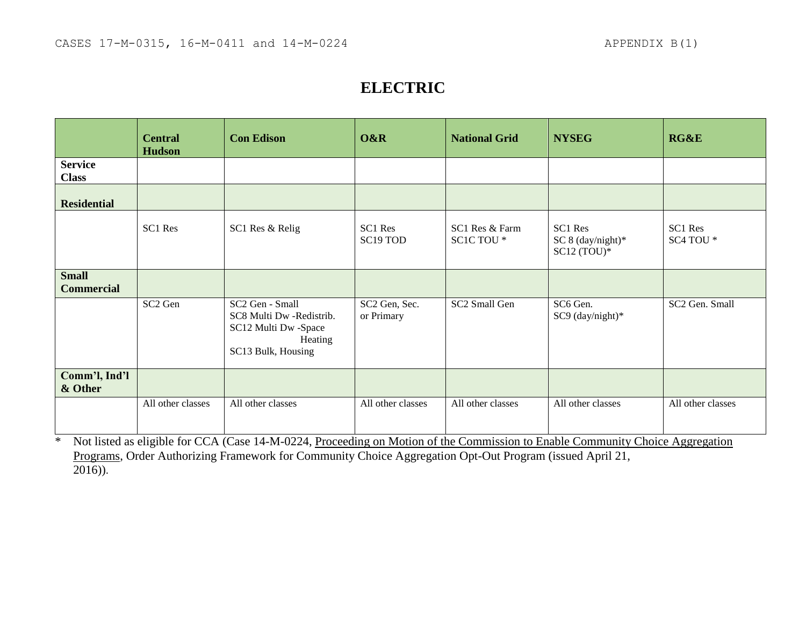## **ELECTRIC**

|                                   | <b>Central</b><br><b>Hudson</b> | <b>Con Edison</b>                                                                                    | O&R                         | <b>National Grid</b>                    | <b>NYSEG</b>                                    | RG&E                 |
|-----------------------------------|---------------------------------|------------------------------------------------------------------------------------------------------|-----------------------------|-----------------------------------------|-------------------------------------------------|----------------------|
| <b>Service</b><br><b>Class</b>    |                                 |                                                                                                      |                             |                                         |                                                 |                      |
| <b>Residential</b>                |                                 |                                                                                                      |                             |                                         |                                                 |                      |
|                                   | SC1 Res                         | SC1 Res & Relig                                                                                      | SC1 Res<br>SC19 TOD         | SC1 Res & Farm<br>SC1C TOU <sup>*</sup> | SC1 Res<br>SC 8 $(day/night)*$<br>$SC12 (TOU)*$ | SC1 Res<br>SC4 TOU * |
| <b>Small</b><br><b>Commercial</b> |                                 |                                                                                                      |                             |                                         |                                                 |                      |
|                                   | SC <sub>2</sub> Gen             | SC2 Gen - Small<br>SC8 Multi Dw -Redistrib.<br>SC12 Multi Dw -Space<br>Heating<br>SC13 Bulk, Housing | SC2 Gen, Sec.<br>or Primary | SC2 Small Gen                           | SC6 Gen.<br>SC9 (day/night)*                    | SC2 Gen. Small       |
| Comm'l, Ind'l<br>& Other          |                                 |                                                                                                      |                             |                                         |                                                 |                      |
|                                   | All other classes               | All other classes                                                                                    | All other classes           | All other classes                       | All other classes                               | All other classes    |

\* Not listed as eligible for CCA (Case 14-M-0224, Proceeding on Motion of the Commission to Enable Community Choice Aggregation Programs, Order Authorizing Framework for Community Choice Aggregation Opt-Out Program (issued April 21,  $\overline{2016}$ ).